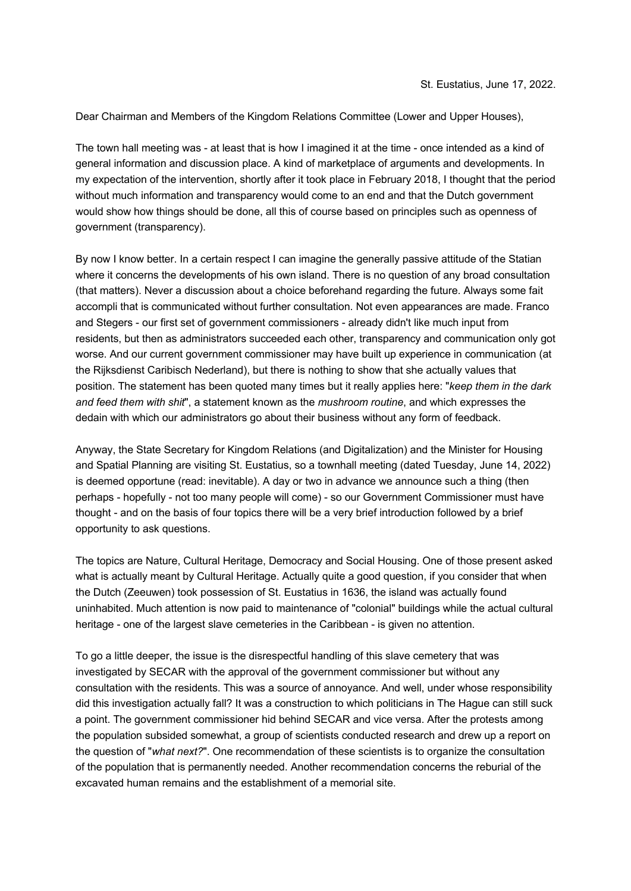Dear Chairman and Members of the Kingdom Relations Committee (Lower and Upper Houses),

The town hall meeting was - at least that is how I imagined it at the time - once intended as a kind of general information and discussion place. A kind of marketplace of arguments and developments. In my expectation of the intervention, shortly after it took place in February 2018, I thought that the period without much information and transparency would come to an end and that the Dutch government would show how things should be done, all this of course based on principles such as openness of government (transparency).

By now I know better. In a certain respect I can imagine the generally passive attitude of the Statian where it concerns the developments of his own island. There is no question of any broad consultation (that matters). Never a discussion about a choice beforehand regarding the future. Always some fait accompli that is communicated without further consultation. Not even appearances are made. Franco and Stegers - our first set of government commissioners - already didn't like much input from residents, but then as administrators succeeded each other, transparency and communication only got worse. And our current government commissioner may have built up experience in communication (at the Rijksdienst Caribisch Nederland), but there is nothing to show that she actually values that position. The statement has been quoted many times but it really applies here: "*keep them in the dark and feed them with shit*", a statement known as the *mushroom routine*, and which expresses the dedain with which our administrators go about their business without any form of feedback.

Anyway, the State Secretary for Kingdom Relations (and Digitalization) and the Minister for Housing and Spatial Planning are visiting St. Eustatius, so a townhall meeting (dated Tuesday, June 14, 2022) is deemed opportune (read: inevitable). A day or two in advance we announce such a thing (then perhaps - hopefully - not too many people will come) - so our Government Commissioner must have thought - and on the basis of four topics there will be a very brief introduction followed by a brief opportunity to ask questions.

The topics are Nature, Cultural Heritage, Democracy and Social Housing. One of those present asked what is actually meant by Cultural Heritage. Actually quite a good question, if you consider that when the Dutch (Zeeuwen) took possession of St. Eustatius in 1636, the island was actually found uninhabited. Much attention is now paid to maintenance of "colonial" buildings while the actual cultural heritage - one of the largest slave cemeteries in the Caribbean - is given no attention.

To go a little deeper, the issue is the disrespectful handling of this slave cemetery that was investigated by SECAR with the approval of the government commissioner but without any consultation with the residents. This was a source of annoyance. And well, under whose responsibility did this investigation actually fall? It was a construction to which politicians in The Hague can still suck a point. The government commissioner hid behind SECAR and vice versa. After the protests among the population subsided somewhat, a group of scientists conducted research and drew up a report on the question of "*what next?*". One recommendation of these scientists is to organize the consultation of the population that is permanently needed. Another recommendation concerns the reburial of the excavated human remains and the establishment of a memorial site.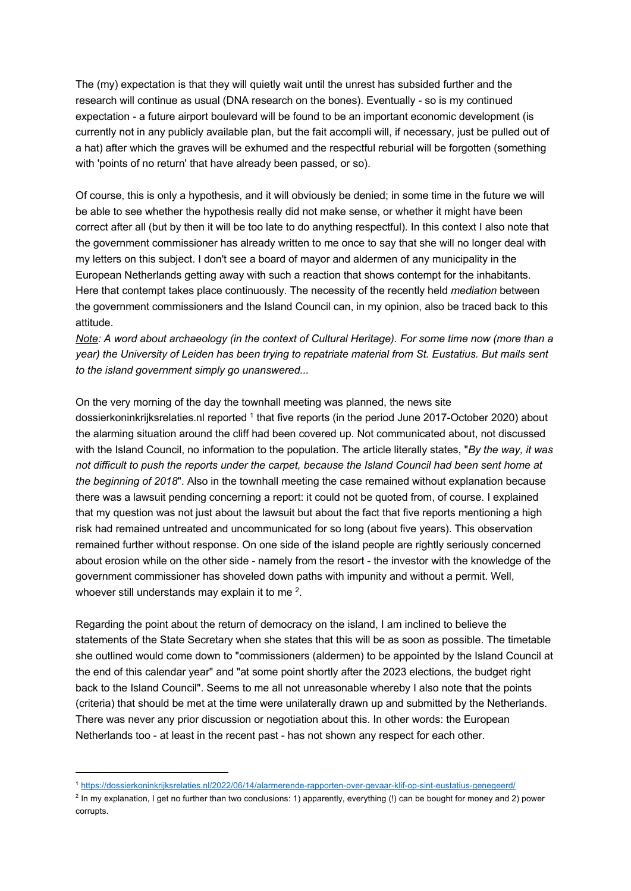The (my) expectation is that they will quietly wait until the unrest has subsided further and the research will continue as usual (DNA research on the bones). Eventually - so is my continued expectation - a future airport boulevard will be found to be an important economic development (is currently not in any publicly available plan, but the fait accompli will, if necessary, just be pulled out of a hat) after which the graves will be exhumed and the respectful reburial will be forgotten (something with 'points of no return' that have already been passed, or so).

Of course, this is only a hypothesis, and it will obviously be denied; in some time in the future we will be able to see whether the hypothesis really did not make sense, or whether it might have been correct after all (but by then it will be too late to do anything respectful). In this context I also note that the government commissioner has already written to me once to say that she will no longer deal with my letters on this subject. I don't see a board of mayor and aldermen of any municipality in the European Netherlands getting away with such a reaction that shows contempt for the inhabitants. Here that contempt takes place continuously. The necessity of the recently held *mediation* between the government commissioners and the Island Council can, in my opinion, also be traced back to this attitude.

*Note: A word about archaeology (in the context of Cultural Heritage). For some time now (more than a year) the University of Leiden has been trying to repatriate material from St. Eustatius. But mails sent to the island government simply go unanswered...*

On the very morning of the day the townhall meeting was planned, the news site dossierkoninkrijksrelaties.nl reported <sup>1</sup> that five reports (in the period June 2017-October 2020) about the alarming situation around the cliff had been covered up. Not communicated about, not discussed with the Island Council, no information to the population. The article literally states, "*By the way, it was not difficult to push the reports under the carpet, because the Island Council had been sent home at the beginning of 2018*". Also in the townhall meeting the case remained without explanation because there was a lawsuit pending concerning a report: it could not be quoted from, of course. I explained that my question was not just about the lawsuit but about the fact that five reports mentioning a high risk had remained untreated and uncommunicated for so long (about five years). This observation remained further without response. On one side of the island people are rightly seriously concerned about erosion while on the other side - namely from the resort - the investor with the knowledge of the government commissioner has shoveled down paths with impunity and without a permit. Well, whoever still understands may explain it to me  $^2$ .

Regarding the point about the return of democracy on the island, I am inclined to believe the statements of the State Secretary when she states that this will be as soon as possible. The timetable she outlined would come down to "commissioners (aldermen) to be appointed by the Island Council at the end of this calendar year" and "at some point shortly after the 2023 elections, the budget right back to the Island Council". Seems to me all not unreasonable whereby I also note that the points (criteria) that should be met at the time were unilaterally drawn up and submitted by the Netherlands. There was never any prior discussion or negotiation about this. In other words: the European Netherlands too - at least in the recent past - has not shown any respect for each other.

<sup>1</sup> https://dossierkoninkrijksrelaties.nl/2022/06/14/alarmerende-rapporten-over-gevaar-klif-op-sint-eustatius-genegeerd/

<sup>&</sup>lt;sup>2</sup> In my explanation, I get no further than two conclusions: 1) apparently, everything (!) can be bought for money and 2) power corrupts.